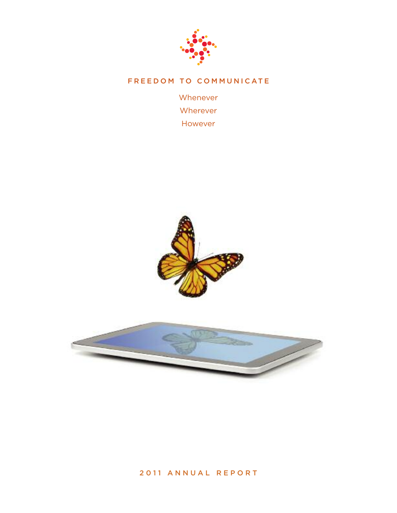

# **F R E E D O M T O C O M M U N I C AT E**

Whenever Wherever However





## **2 0 1 1 A N N U A L R E P O R T**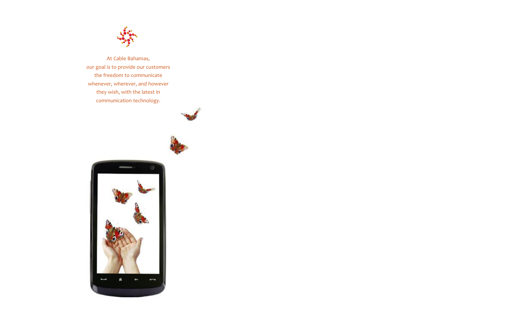

At Cable Bahamas, our goal is to provide our customers the freedom to communicate whenever, wherever, and however they wish, with the latest in communication technology.





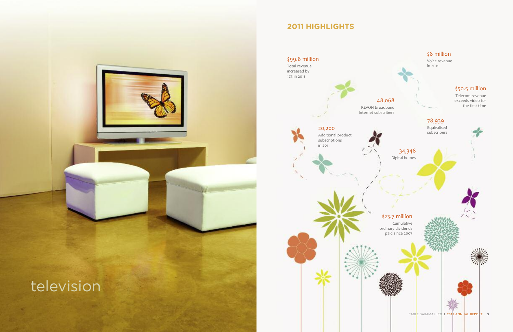# \$8 million

Voice revenue in 2011

34,348 Digital homes

\$99.8 million

Total revenue increased by 12% in 2011

> 48,068 REVON broadband Internet subscribers

> > \$23.7 million

Cumulative ordinary dividends paid since 2007



# \$50.5 million

Telecom revenue exceeds video for the first time

78,939 Equivalised subscribers

20,200

Additional product subscriptions

in 2011

# **2011 HIGHLIGHTS**

# television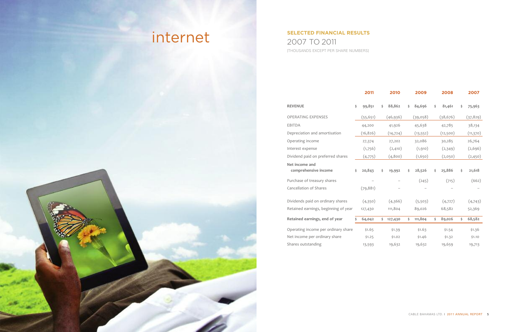|                                        |    | 2011      | 2010          | 2009          | 2008         | 2007         |
|----------------------------------------|----|-----------|---------------|---------------|--------------|--------------|
| <b>REVENUE</b>                         | \$ | 99,851    | \$<br>88,862  | \$<br>84,696  | \$<br>81,461 | \$<br>75,963 |
| <b>OPERATING EXPENSES</b>              |    | (55, 651) | (46, 936)     | (39,058)      | (38, 676)    | (37, 829)    |
| <b>EBITDA</b>                          |    | 44,200    | 41,926        | 45,638        | 42,785       | 38,134       |
| Depreciation and amortisation          |    | (16, 826) | (14, 724)     | (13, 552)     | (12,500)     | (11, 370)    |
| Operating income                       |    | 27,374    | 27,202        | 32,086        | 30,285       | 26,764       |
| Interest expense                       |    | (1,756)   | (2, 410)      | (1, 910)      | (2,349)      | (2,696)      |
| Dividend paid on preferred shares      |    | (4,775)   | (4,800)       | (1,650)       | (2,050)      | (2,450)      |
| Net income and<br>comprehensive income | \$ | 20,843    | \$<br>19,992  | \$<br>28,526  | \$<br>25,886 | \$<br>21,618 |
| Purchase of treasury shares            |    |           |               | (245)         | (715)        | (662)        |
| Cancellation of Shares                 |    | (79, 881) |               |               |              |              |
| Dividends paid on ordinary shares      |    | (4,350)   | (4,366)       | (5,503)       | (4,727)      | (4,743)      |
| Retained earnings, beginning of year   |    | 127,430   | 111,804       | 89,026        | 68,582       | 52,369       |
| Retained earnings, end of year         | Ś  | 64,042    | \$<br>127,430 | \$<br>111,804 | \$<br>89,026 | \$<br>68,582 |
| Operating income per ordinary share    |    | \$1.65    | \$1.39        | \$1.63        | \$1.54       | \$1.36       |
| Net income per ordinary share          |    | \$1.25    | \$1.02        | \$1.46        | \$1.32       | \$1.10       |
| Shares outstanding                     |    | 13,593    | 19,632        | 19,632        | 19,659       | 19,713       |

# **SELECTED FINANCIAL RESULTS** 2007 TO 2011 [THOUSANDS EXCEPT PER SHARE NUMBERS]

# internet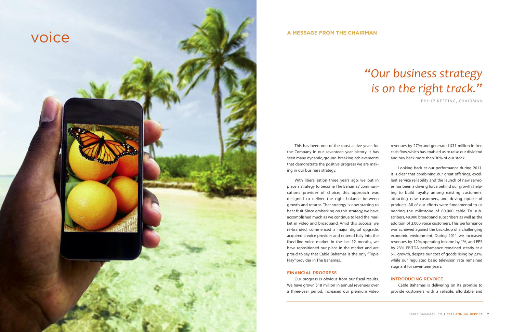This has been one of the most active years for the Company in our seventeen year history. It has seen many dynamic, ground-breaking achievements that demonstrate the positive progress we are making in our business strategy.

## **FINANCIAL PROGRESS**

With liberalisation three years ago, we put in place a strategy to become The Bahamas' communications provider of choice; this approach was designed to deliver the right balance between growth and returns. That strategy is now starting to bear fruit. Since embarking on this strategy, we have accomplished much as we continue to lead the market in video and broadband. Amid this success, we re-branded, commenced a major digital upgrade, acquired a voice provider and entered fully into the fixed-line voice market. In the last 12 months, we have repositioned our place in the market and are proud to say that Cable Bahamas is the only "Triple Play" provider in The Bahamas. Looking back at our performance during 2011, it is clear that combining our great offerings, excellent service reliability and the launch of new services has been a driving force behind our growth: helping to build loyalty among existing customers, attracting new customers, and driving uptake of products. All of our efforts were fundamental to us nearing the milestone of 80,000 cable TV subscribers, 48,000 broadband subscribers as well as the addition of 3,000 voice customers. This performance was achieved against the backdrop of a challenging economic environment. During 2011 we increased revenues by 12%, operating income by 1%, and EPS by 23%. EBITDA performance remained steady at a 5% growth, despite our cost of goods rising by 23%, while our regulated basic television rate remained stagnant for seventeen years.

revenues by 27%; and generated \$31 million in free cash flow,which has enabled us to raise our dividend and buy back more than 30% of our stock.

Our progress is obvious from our fiscal results. We have grown \$18 million in annual revenues over a three-year period, increased our premium video **INTRODUCING REVOICE** Cable Bahamas is delivering on its promise to provide customers with a reliable, affordable and

## **A MESSAGE FROM THE CHAIRMAN**

voice

# *"Our business strategy is on the right track."*

PHILIP KEEPING, CHAIRMAN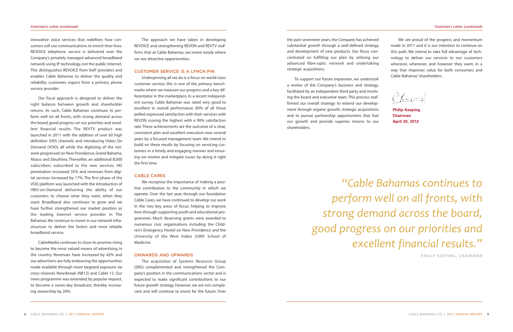the past seventeen years, the Company has achieved substantial growth through a well-defined strategy and development of new products. Our focus concentrated on fulfilling our plan by utilising our advanced fibre-optic network and undertaking strategic acquisitions. We are proud of the progress and momentum made in 2011 and it is our intention to continue on this path. We intend to take full advantage of technology to deliver our services to our customers wherever, whenever, and however they want, in a way that improves value for both consumers and Cable Bahamas'shareholders.

To support our future expansion, we undertook a review of the Company's business and strategy, facilitated by an independent third party and involving the board and executive team. This process reaffirmed our overall strategy: to extend our development through organic growth, strategic acquisitions and to pursue partnership opportunities that fuel our growth and provide superior returns to our shareholders.

innovative voice services that redefines how consumers will use communications to enrich their lives. REVOICE telephone service is delivered over the Company's privately managed advanced broadband network using IP technology, not the public Internet. This distinguishes REVOICE from VoIP providers and enables Cable Bahamas to deliver the quality and reliability customers expect from a primary phone service provider.

Our fiscal approach is designed to deliver the right balance between growth and shareholder returns. As such, Cable Bahamas continues to perform well on all fronts, with strong demand across the board, good progress on our priorities and excellent financial results. The REVTV product was launched in 2011 with the addition of over 60 high definition (HD) channels and introducing Video On Demand (VOD), all while the digitising of the network progressed on New Providence,Grand Bahama, Abaco and Eleuthera. Thereafter, an additional 8,000 subscribers subscribed to the new services. HD penetration increased 35% and revenues from digital services increased by 17%. The first phase of the VOD platform was launched with the introduction of HBO-on-Demand delivering the ability of our customers to choose what they want, when they want. Broadband also continues to grow and we have further strengthened our market position as the leading Internet service provider in The Bahamas.We continue to invest in our network infrastructure to deliver the fastest and most reliable broadband service.

CableMedia continues to show its promise rising to become the most valued means of advertising in the country. Revenues have increased by 42% and our advertisers are fully embracing the opportunities made available through more targeted exposure via cross-channel, Newsbreak (NB12) and Cable 12. Our news programme was extended, by popular request, to become a seven-day broadcast, thereby increasing viewership by 20%.

The approach we have taken in developing REVOICE and strengthening REVON and REVTV reaffirms that at Cable Bahamas, we invest wisely where we see attractive opportunities.

#### **CUSTOMER SERVICE IS A LYNCH PIN**

Underpinning all we do is a focus on world-class customer service; this is one of the primary benchmarks where we measure our progress and a key differentiator in the marketplace. In a recent independent survey, Cable Bahamas was rated very good to excellent in overall performance. 80% of all those polled expressed satisfaction with their services with REVON scoring the highest with a 90% satisfaction rate. These achievements are the outcome of a clear, consistent plan and excellent execution over several years by a focused management team. We intend to build on these results by focusing on servicing customers in a timely and engaging manner and ensuring we resolve and mitigate issues by doing it right the first time.

### **CABLE CARES**

We recognise the importance of making a positive contribution to the community in which we operate. Over the last year, through our foundation Cable Cares, we have continued to develop our work in the two key areas of focus: helping to improve lives through supporting youth and educational programmes. Much deserving grants were awarded to numerous civic organisations including the Children's Emergency Hostel on New Providence and the University of the West Indies (UWI) School of Medicine.

#### **ONWARDS AND UPWARDS**

The acquisition of Systems Resource Group (SRG) complemented and strengthened the Company's position in the communications sector and is expected to make significant contributions to our future growth strategy.However, we are not complacent and will continue to invest for the future. Over

**Philip Keeping Chairman April 20, 2012**

 $\sqrt{K}$ 

# *"Cable Bahamas continues to perform well on all fronts, with strong demand across the board, good progress on our priorities and excellent financial results."*

PHILIP KEEPING, CHAIRMAN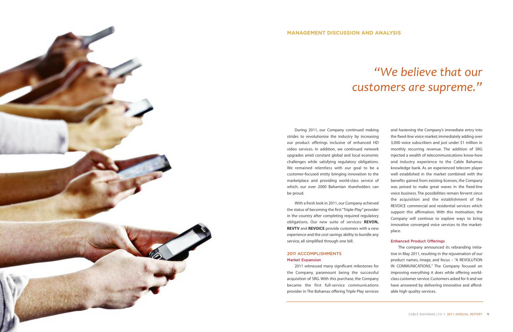## **2011 ACCOMPLISHMENTS Market Expansion**

During 2011, our Company continued making With a fresh look in 2011,our Company achieved and hastening the Company's immediate entry into the fixed-line voice market; immediately adding over 3,000 voice subscribers and just under \$1 million in monthly recurring revenue. The addition of SRG injected a wealth of telecommunications know-how and industry experience to the Cable Bahamas knowledge bank. As an experienced telecom player well established in the market combined with the benefits gained from existing licenses, the Company was poised to make great waves in the fixed-line voice business. The possibilities remain fervent since the acquisition and the establishment of the REVOICE commercial and residential services which support this affirmation. With this motivation, the Company will continue to explore ways to bring innovative converged voice services to the marketplace.

strides to revolutionise the industry by increasing our product offerings inclusive of enhanced HD video services. In addition, we continued network upgrades amid constant global and local economic challenges while satisfying regulatory obligations. We remained relentless with our goal to be a customer-focused entity bringing innovation to the marketplace and providing world-class service of which, our over 2000 Bahamian shareholders can be proud. the status of becoming the first "Triple-Play" provider in the country after completing required regulatory obligations. Our new suite of services: **REVON, REVTV** and **REVOICE** provide customers with a new experience and the cost savings ability to bundle any service, all simplified through one bill. **Enhanced Product Offerings**

2011 witnessed many significant milestones for the Company, paramount being the successful acquisition of SRG. With this purchase, the Company became the first full-service communications provider in The Bahamas offering Triple Play services

The company announced its rebranding initiative in May 2011, resulting in the rejuvenation of our product names, image, and focus – "A REVOLUTION IN COMMUNICATIONS." The Company focused on improving everything it does while offering worldclass customer service. Customers asked for it and we have answered by delivering innovative and affordable high quality services.

# *"We believe that our customers are supreme."*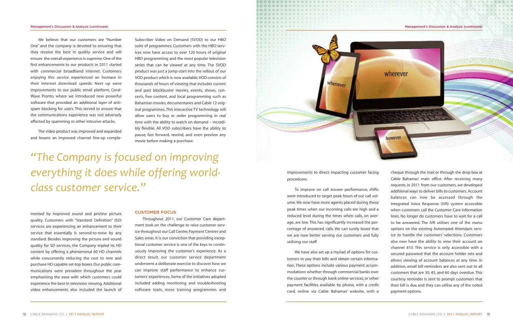

improvements to direct impacting customer facing procedures. To improve on call answer performance, shifts were introduced to target peak hours of our call volume.We now have more agents placed during these peak times when our incoming calls are high and a reduced level during the times when calls, on average, are low. This has significantly increased the percentage of answered calls. We can surely boast that we are now better serving our customers and fully utilising our staff. We have also set up a myriad of options for customers to pay their bills and obtain certain information. These options include various payment accommodations whether through commercial banks over the counter or through bank online services, or other payment facilities available by phone, with a credit card, online via Cable Bahamas' website, with a cheque through the mail or through the drop box at Cable Bahamas' main office. After receiving many requests in 2011 from our customers, we developed additional ways to deliver bills to customers.Account balances can now be accessed through the Integrated Voice Response (IVR) system accessible when customers call the Customer Care information lines. No longer do customers have to wait for a call to be answered. The IVR utilises one of the menu options on the existing Automated Attendant service to handle the customers' selections. Customers also now have the ability to view their account on channel 810. This service is only accessible with a secured password that the account holder sets and allows viewing of account balances at any time. In addition, email bill reminders are also sent out to all customers that are 30, 45, and 60 days overdue. This courtesy reminder is sent to prompt customers that their bill is due and they can utilise any of the noted payment options.

We believe that our customers are "Number One" and the company is devoted to ensuring that they receive the best in quality service and will ensure the overall experience is supreme. One of the first enhancements to our products in 2011 started with commercial broadband Internet. Customers enjoying this service experienced an increase in their Internet download speeds. Next up were improvements to our public email platform, Coral-Wave Pronto, where we introduced new powerful software that provided an additional layer of antispam blocking for users. This served to ensure that the communications experience was not adversely affected by spamming or other intrusive attacks.

The video product was improved and expanded and boasts an improved channel line-up comple-

mented by improved sound and pristine picture quality. Customers with "Standard Definition" (SD) services are experiencing an enhancement to their service that essentially is second-to-none by any standard. Besides improving the picture and sound quality for SD services, the Company tripled its HD content by offering a phenomenal 60 HD channels while concurrently reducing the cost to rent and purchase HD capable set-top boxes.Our public communications were prevalent throughout the year emphasising the ease with which customers could experience the best in television viewing. Additional video enhancements also included the launch of

Subscriber Video on Demand (SVOD) to our HBO suite of programmes. Customers with the HBO services now have access to over 120 hours of original HBO programming and the most popular television series that can be viewed at any time. The SVOD product was just a jump-start into the rollout of our VOD product which is now available.VOD consists of thousands of hours of viewing that includes current and past blockbuster movies, events, shows, concerts, free content, and local programming such as Bahamian movies, documentaries and Cable 12 original programmes.This interactive TV technology will allow users to buy or order programming in real time with the ability to watch on demand – incredibly flexible. All VOD subscribers have the ability to pause, fast forward, rewind, and even preview any movie before making a purchase.

#### **CUSTOMER FOCUS**

Throughout 2011, our Customer Care department took on the challenge to raise customer service throughout our Call Centre,Payment Centres and Sales areas. It is our conviction that providing exceptional customer service is one of the keys to continuously improving the customer's experience. As a direct result, our customer service department underwent a deliberate exercise to discover how we can improve staff performance to enhance customers' experiences. Some of the initiatives adopted included adding monitoring and troubleshooting software tools, more training programmes and

*"The Company is focused on improving everything it does while offering worldclass customer service."*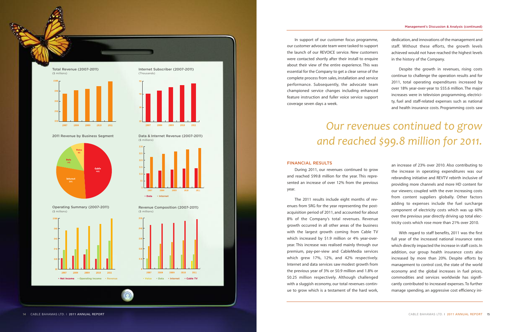**Revenue Composition (2007-2011)** (\$ millions)

**Data & Internet Revenue (2007-2011)** (\$ millions)

**2011 Revenue by Business Segment**







**Operating Summary (2007-2011)** (\$ millions)



**Total Revenue (2007-2011)** (\$ millions)





#### **Management's Discussion & Analysis (continued)**

In support of our customer focus programme, our customer advocate team were tasked to support the launch of our REVOICE service. New customers were contacted shortly after their install to enquire about their view of the entire experience. This was essential for the Company to get a clear sense of the complete process from sales, installation and service performance. Subsequently, the advocate team championed service changes including enhanced feature instruction and fuller voice service support coverage seven days a week.

#### **FINANCIAL RESULTS**

During 2011, our revenues continued to grow and reached \$99.8 million for the year. This represented an increase of over 12% from the previous year.

The 2011 results include eight months of revenues from SRG for the year representing the postacquisition period of 2011, and accounted for about 8% of the Company's total revenues. Revenue growth occurred in all other areas of the business with the largest growth coming from Cable TV which increased by \$1.9 million or 4% year-overyear. This increase was realised mainly through our premium, pay-per-view and CableMedia services which grew 17%, 12%, and 42% respectively. Internet and data services saw modest growth from the previous year of 3% or \$0.9 million and 1.8% or \$0.25 million respectively. Although challenged with a sluggish economy, our total revenues continue to grow which is a testament of the hard work,



dedication, and innovations of the management and staff. Without these efforts, the growth levels achieved would not have reached the highest levels in the history of the Company.

Despite the growth in revenues, rising costs continue to challenge the operation results and for 2011, total operating expenditures increased by over 18% year-over-year to \$55.6 million. The major increases were in television programming, electricity, fuel and staff-related expenses such as national and health insurance costs. Programming costs saw

an increase of 23% over 2010. Also contributing to the increase in operating expenditures was our rebranding initiative and REVTV rebirth inclusive of providing more channels and more HD content for our viewers; coupled with the ever increasing costs from content suppliers globally. Other factors adding to expenses include the fuel surcharge component of electricity costs which was up 60% over the previous year directly driving up total electricity costs which rose more than 21% over 2010.

With regard to staff benefits, 2011 was the first full year of the increased national insurance rates which directly impacted the increase in staff costs. In addition, our group health insurance costs also increased by more than 20%. Despite efforts by management to control cost, the state of the world economy and the global increases in fuel prices, commodities and services worldwide has significantly contributed to increased expenses. To further manage spending, an aggressive cost efficiency ini-

# *Our revenues continued to grow and reached \$99.8 million for 2011.*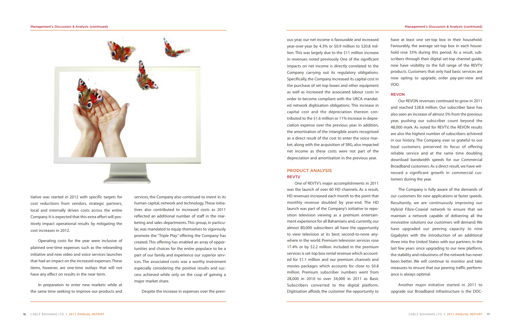ous year, our net income is favourable and increased year-over-year by 4.3% or \$0.9 million to \$20.8 million. This was largely due to the \$11 million increase in revenues noted previously. One of the significant impacts on net income is directly correlated to the Company carrying out its regulatory obligations. Specifically,the Company increased its capital cost in the purchase of set-top boxes and other equipment as well as increased the associated labour costs in order to become compliant with the URCA mandated network digitisation obligations. This increase in capital cost and the depreciation thereon contributed to the \$1.6 million or 11% increase in depreciation expense over the previous year. In addition, the amortisation of the intangible assets recognised as a direct result of the cost to enter the voice market, along with the acquisition of SRG, also impacted net income as these costs were not part of the depreciation and amortisation in the previous year. **PRODUCT ANALYSIS REVTV** have at least one set-top box in their household. Favourably, the average set-top box in each household rose 33% during this period. As a result, subscribers through their digital set-top channel guide, now have visibility to the full range of the REVTV products. Customers that only had basic services are now opting to upgrade, order pay-per-view and VOD. **REVON** Our REVON revenues continued to grow in 2011 and reached \$28.8 million. Our subscriber base has also seen an increase of almost 5% from the previous year, pushing our subscriber count beyond the 48,000 mark. As noted for REVTV, the REVON results are also the highest number of subscribers achieved in our history. The Company, ever so grateful to our loyal customers, preserved its focus of offering reliable service and at the same time doubling download bandwidth speeds for our Commercial Broadband customers.As a direct result,we have witnessed a significant growth in commercial customers during the year.

One of REVTV's major accomplishments in 2011 was the launch of over 60 HD channels. As a result, HD revenues increased each month to the point that monthly revenue doubled by year-end. The HD launch was part of the Company's initiative to reposition television viewing as a premium entertainment experience for all Bahamians and, currently,our almost 80,000 subscribers all have the opportunity to view television at its best; second-to-none anywhere in the world. Premium television services rose 17.4% or by \$2.2 million. Included in the premium services is set-top box rental revenue which accounted for \$1.1 million and our premium channels and movies packages which accounts for close to \$0.8 million. Premium subscriber numbers went from 28,000 in 2010 to over 34,000 in 2011 as Basic Subscribers converted to the digital platform. Digitisation affords the customer the opportunity to

The Company is fully aware of the demands of our customers for new applications at faster speeds. Resultantly, we are continuously improving our Hybrid Fibre-Coaxial network to ensure that we maintain a network capable of delivering all the innovative solutions our customers will demand. We have upgraded our peering capacity to nine Gigabytes with the introduction of an additional three into the United States with our partners. In the last few years since upgrading to our new platform, the stability and robustness of the network has never been better. We will continue to monitor and take measures to ensure that our peering traffic performance is always optimal.

Another major initiative started in 2011 to upgrade our Broadband infrastructure is the DOC-



tiative was started in 2012 with specific targets for cost reductions from vendors, strategic partners, local and internally driven costs across the entire Company. It is expected that this extra effort will positively impact operational results by mitigating the cost increases in 2012.

Operating costs for the year were inclusive of planned one-time expenses such as the rebranding initiative and new video and voice services launches that had an impact on the increased expenses.These items, however, are one-time outlays that will not have any effect on results in the near term.

In preparation to enter new markets while at the same time seeking to improve our products and

services, the Company also continued to invest in its human capital, network and technology.These initiatives also contributed to increased costs as 2011 reflected an additional number of staff in the marketing and sales departments. This group, in particular, was mandated to equip themselves to vigorously promote the "Triple Play" offering the Company has created. This offering has enabled an array of opportunities and choices for the entire populace to be a part of our family and experience our superior services. The associated costs was a worthy investment especially considering the positive results and success achieved while only on the cusp of gaining a major market share.

Despite the increase in expenses over the previ-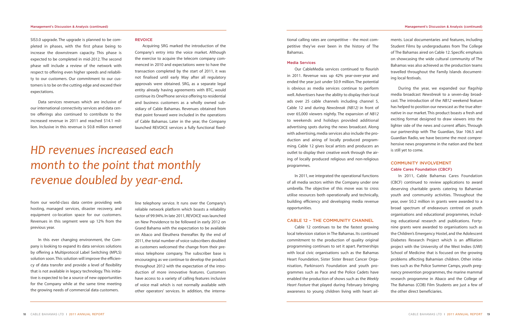ended the year just under \$0.9 million. The potential is obvious as media services continue to perform well.Advertisers have the ability to display their local ads over 25 cable channels including channel 5, Cable 12 and during *Newsbreak (NB12)* in front of over 65,000 viewers nightly. The expansion of *NB12* to weekends and holidays provided additional advertising spots during the news broadcast. Along with advertising, media services also include the production and airing of locally produced programming. Cable 12 gives local artists and producers an outlet to display their creative work through the airing of locally produced religious and non-religious programmes.

In 2011, we integrated the operational functions of all media sectors within the Company under one umbrella. The objective of this move was to cross utilise resources both operationally and technically, building efficiency and developing media revenue opportunities.

tional calling rates are competitive – the most competitive they've ever been in the history of The Bahamas. **Media Services** Our CableMedia services continued to flourish in 2011. Revenue was up 42% year-over-year and ments. Local documentaries and features, including Student Films by undergraduates from The College of The Bahamas aired on Cable 12. Specific emphasis on showcasing the wide cultural community of The Bahamas was also achieved as the production teams travelled throughout the Family Islands documenting local festivals.

### **CABLE 12 – THE COMMUNITY CHANNEL**

Cable 12 continues to be the fastest growing local television station in The Bahamas. Its continued commitment to the production of quality original programming continues to set it apart. Partnerships with local civic organisations such as the Bahamas Heart Foundation, Sister Sister Breast Cancer Organisation, Parkinson's Foundation and youth programmes such as Pace and the Police Cadets have enabled the production of shows such as the *Weekly Heart Feature* that played during February bringing awareness to young children living with heart ail-

During the year, we expanded our flagship media broadcast *Newsbreak* to a seven-day broadcast. The introduction of the *NB12* weekend feature has helped to position our newscast as the true alternative in our market.This product boasts a fresh and exciting format designed to draw viewers into the lighter side of the news and current affairs. Through our partnership with The Guardian, Star 106.5 and Guardian Radio, we have become the most comprehensive news programme in the nation and the best is still yet to come.

## **COMMUNITY INVOLVEMENT Cable Cares Foundation (CBCF)**

In 2011, Cable Bahamas Cares Foundation (CBCF) continued to review applications to award deserving charitable grants catering to Bahamian youth and community activities. Throughout the year, over \$0.2 million in grants were awarded to a broad spectrum of endeavours centred on youth organisations and educational programmes, including educational research and publications. Fortynine grants were awarded to organisations such as the Children's Emergency Hostel, and the Adolescent Diabetes Research Project which is an affiliation project with the University of the West Indies (UWI) School of Medicine that is focused on the growing problems affecting Bahamian children. Other initiatives such as the Police Summer Camps, youth pregnancy prevention programmes, the marine mammal research programme in Abaco and the College of The Bahamas (COB) Film Students are just a few of the other direct beneficiaries.

SIS3.0 upgrade. The upgrade is planned to be completed in phases, with the first phase being to increase the downstream capacity. This phase is expected to be completed in mid-2012. The second phase will include a review of the network with respect to offering even higher speeds and reliability to our customers. Our commitment to our customers is to be on the cutting edge and exceed their expectations.

Data services revenues which are inclusive of our international connectivity services and data centre offerings also continued to contribute to the increased revenue in 2011 and reached \$14.1 million. Inclusive in this revenue is \$0.8 million earned

from our world-class data centre providing web hosting, managed services, disaster recovery, and equipment co-location space for our customers. Revenues in this segment were up 12% from the previous year.

In this ever changing environment, the Company is looking to expand its data services solutions by offering a Multiprotocol Label Switching (MPLS) solution soon.This solution will improve the efficiency of data transfer and provide a level of flexibility that is not available in legacy technology. This initiative is expected to be a source of new opportunities for the Company while at the same time meeting the growing needs of commercial data customers.

#### **REVOICE**

Acquiring SRG marked the introduction of the Company's entry into the voice market. Although the exercise to acquire the telecom company commenced in 2010 and expectations were to have the transaction completed by the start of 2011, it was not finalised until early May after all regulatory approvals were obtained. SRG, as a separate legal entity already having agreements with BTC, would continue its OnePhone service offering to residential and business customers as a wholly owned subsidiary of Cable Bahamas. Revenues obtained from that point forward were included in the operations of Cable Bahamas. Later in the year, the Company launched REVOICE services a fully functional fixed-

line telephony service. It runs over the Company's reliable network platform which boasts a reliability factor of 99.94%. In late 2011, REVOICE was launched on New Providence to be followed in early 2012 on Grand Bahama with the expectation to be available on Abaco and Eleuthera thereafter. By the end of 2011, the total number of voice subscribers doubled as customers welcomed the change from their previous telephone company. The subscriber base is encouraging as we continue to develop the product throughout 2012 with the expectation of the introduction of more innovative features. Customers have access to a variety of calling features inclusive of voice mail which is not normally available with other operators' services. In addition, the interna-

# *HD revenues increased each month to the point that monthly revenue doubled by year-end.*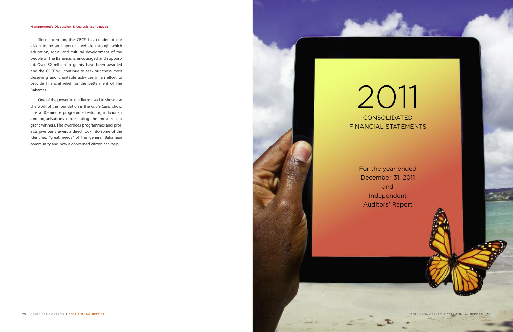# 2011 CONSOLIDATED

For the year ended December 31, 2011 and Independent Auditors' Report

Since inception, the CBCF has continued our vision to be an important vehicle through which education, social and cultural development of the people of The Bahamas is encouraged and supported. Over \$2 million in grants have been awarded and the CBCF will continue to seek out those most deserving and charitable activities in an effort to provide financial relief for the betterment of The Bahamas.

One of the powerful mediums used to showcase the work of the foundation is the *Cable Cares* show. It is a 30-minute programme featuring individuals and organisations representing the most recent grant winners. The awardees programmes and projects give our viewers a direct look into some of the identified "great needs" of the general Bahamian community and how a concerned citizen can help.



#### **Management's Discussion & Analysis (continued)**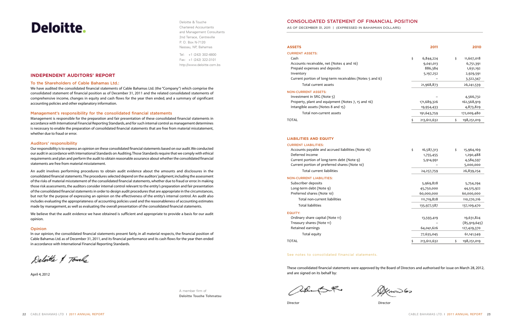## **CONSOLIDATED STATEMENT OF FINANCIAL POSITION**

AS OF DECEMBER 31, 2011 | (EXPRESSED IN BAHAMIAN DOLLARS)

# **Deloitte**

Deloitte & Touche Chartered Accountants and Management Consultants 2nd Terrace, Centreville P. O. Box N-7120 Nassau, NP, Bahamas

Tel: +1 (242) 302-4800 Fax: +1 (242) 322-3101 http://www.deloitte.com.bs

A member firm of **Deloitte Touche Tohmatsu**

## **INDEPENDENT AUDITORS' REPORT**

#### **To the Shareholders of Cable Bahamas Ltd.:**

We have audited the consolidated financial statements of Cable Bahamas Ltd. (the "Company") which comprise the consolidated statement of financial position as of December 31, 2011 and the related consolidated statements of comprehensive income, changes in equity and cash flows for the year then ended, and a summary of significant accounting policies and other explanatory information.

Our responsibility is to express an opinion on these consolidated financial statements based on our audit. We conducted our audit in accordance with International Standards on Auditing.Those Standardsrequire that we comply with ethical requirements and plan and perform the audit to obtain reasonable assurance about whether the consolidated financial statements are free from material misstatement.

#### **Management's responsibility for the consolidated financial statements**

Management is responsible for the preparation and fair presentation of these consolidated financial statements in accordance with International Financial Reporting Standards,and forsuch internal control as management determines is necessary to enable the preparation of consolidated financial statements that are free from material misstatement, whether due to fraud or error.

#### **Auditors' responsibility**

An audit involves performing procedures to obtain audit evidence about the amounts and disclosures in the consolidated financial statements. The procedures selected depend on the auditors' judgment, including the assessment of the risks of material misstatement of the consolidated financial statements, whether due to fraud or error. In making those risk assessments,the auditors consider internal control relevant to the entity's preparation and fair presentation of the consolidated financial statements in order to design audit procedures that are appropriate in the circumstances, but not for the purpose of expressing an opinion on the effectiveness of the entity's internal control. An audit also includes evaluating the appropriateness of accounting policies used and the reasonableness of accounting estimates made by management, as well as evaluating the overall presentation of the consolidated financial statements.

We believe that the audit evidence we have obtained is sufficient and appropriate to provide a basis for our audit opinion.

#### **Opinion**

In our opinion, the consolidated financial statements present fairly, in all material respects, the financial position of Cable Bahamas Ltd. as of December 31, 2011, and its financial performance and its cash flows for the year then ended in accordance with International Financial Reporting Standards.

Deloitte & Tourke

April 4, 2012

#### **CURRENT ASSETS:**

#### **NON-CURRENT ASSETS:**

#### **LIABILITIES AND EQUITY**

#### **CURRENT LIABILITIES:**

| ASSETS                                                   | 2011              | 2010              |
|----------------------------------------------------------|-------------------|-------------------|
| <b>CURRENT ASSETS:</b>                                   |                   |                   |
| Cash                                                     | \$<br>6,844,224   | \$<br>11,607,018  |
| Accounts receivable, net (Notes 4 and 16)                | 9,041,013         | 6,751,391         |
| Prepaid expenses and deposits                            | 886,384           | 1,631,192         |
| Inventory                                                | 5,197,252         | 2,929,591         |
| Current portion of long-term receivables (Notes 5 and 6) |                   | 3,322,347         |
| Total current assets                                     | 21,968,873        | 26, 241, 539      |
| <b>NON-CURRENT ASSETS:</b>                               |                   |                   |
| Investment in SRG (Note 5)                               |                   | 4,566,732         |
| Property, plant and equipment (Notes 7, 15 and 16)       | 171,689,326       | 162,568,919       |
| Intangible assets (Notes 8 and 15)                       | 19,954,433        | 4,873,829         |
| Total non-current assets                                 | 191,643,759       | 172,009,480       |
| TOTAL                                                    | \$<br>213,612,632 | \$<br>198,251,019 |
| <b>LIABILITIES AND EQUITY</b>                            |                   |                   |
| <b>CURRENT LIABILITIES:</b>                              |                   |                   |
| Accounts payable and accrued liabilities (Note 16)       | \$<br>16,587,313  | \$<br>15,964,169  |
| Deferred income                                          | 1,755,455         | 1,290,488         |
| Current portion of long-term debt (Note 9)               | 5,914,991         | 4,584,597         |
| Current portion of preferred shares (Note 10)            |                   | 5,000,000         |
| Total current liabilities                                | 24, 257, 759      | 26,839,254        |
| <b>NON-CURRENT LIABILITIES:</b>                          |                   |                   |
| Subscriber deposits                                      | 5,969,828         | 5,754,294         |
| Long-term debt (Note 9)                                  | 45,750,000        | 44,515,922        |
| Preferred shares (Note 10)                               | 60,000,000        | 60,000,000        |
| Total non-current liabilities                            | 111,719,828       | 110,270,216       |
| <b>Total liabilities</b>                                 | 135,977,587       | 137,109,470       |
| <b>EQUITY:</b>                                           |                   |                   |
| Ordinary share capital (Note 11)                         | 13,593,419        | 19,631,824        |
| Treasury shares (Note 11)                                |                   | (85, 919, 645)    |
| Retained earnings                                        | 64,041,626        | 127,429,370       |
| Total equity                                             | 77,635,045        | 61, 141, 549      |
| TOTAL                                                    | \$<br>213,612,632 | \$<br>198,251,019 |
|                                                          |                   |                   |

 $\mathscr{A}$  now  $\mathscr{G}$ 

#### **NON-CURRENT LIABILITIES:**

#### **EQUITY:**

#### See notes to consolidated financial statements.

These consolidated financial statements were approved by the Board of Directors and authorised for issue on March 28, 2012, and are signed on its behalf by:

Robert

Director Director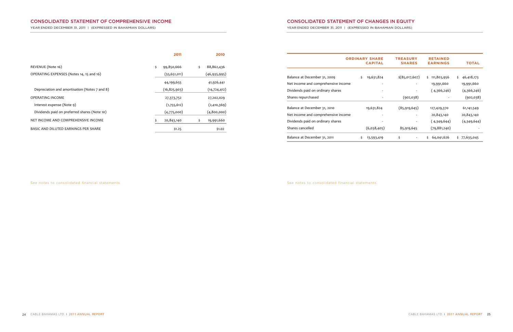|                                     |     | <b>ORDINARY SHARE</b><br><b>CAPITAL</b> | <b>TREASURY</b><br><b>SHARES</b> | <b>RETAINED</b><br><b>EARNINGS</b> | <b>TOTAL</b>      |
|-------------------------------------|-----|-----------------------------------------|----------------------------------|------------------------------------|-------------------|
| Balance at December 31, 2009        | \$. | 19,631,824                              | $$$ (85,017,607)                 | 111,803,956<br>\$                  | \$.<br>46,418,173 |
| Net income and comprehensive income |     |                                         |                                  | 19,991,660                         | 19,991,660        |
| Dividends paid on ordinary shares   |     |                                         |                                  | (4,366,246)                        | (4,366,246)       |
| Shares repurchased                  |     |                                         | (902,038)                        |                                    | (902,038)         |
| Balance at December 31, 2010        |     | 19,631,824                              | (85, 919, 645)                   | 127,429,370                        | 61,141,549        |
| Net income and comprehensive income |     |                                         |                                  | 20,843,140                         | 20,843,140        |
| Dividends paid on ordinary shares   |     |                                         |                                  | ( 4,349,644)                       | (4,349,644)       |
| Shares cancelled                    |     | (6,038,405)                             | 85,919,645                       | (79, 881, 240)                     |                   |
| Balance at December 31, 2011        | \$  | 13,593,419                              | \$                               | 64,041,626<br>Ś.                   | 77,635,045<br>Ś.  |

See notes to consolidated financial statements.

## **CONSOLIDATED STATEMENT OF CHANGES IN EQUITY**

YEAR ENDED DECEMBER 31, 2011 | (EXPRESSED IN BAHAMIAN DOLLARS)

|                                               | 2011             | 2010             |
|-----------------------------------------------|------------------|------------------|
| REVENUE (Note 16)                             | \$<br>99,850,666 | \$<br>88,862,436 |
| OPERATING EXPENSES (Notes 14, 15 and 16)      | (55, 651, 011)   | (46, 935, 995)   |
|                                               | 44,199,655       | 41,926,441       |
| Depreciation and amortisation (Notes 7 and 8) | (16, 825, 903)   | (14, 724, 412)   |
| OPERATING INCOME                              | 27,373,752       | 27,202,029       |
| Interest expense (Note 9)                     | (1,755,612)      | (2,410,369)      |
| Dividends paid on preferred shares (Note 10)  | (4,775,000)      | (4,800,000)      |
| NET INCOME AND COMPREHENSIVE INCOME           | 20,843,140<br>Ś. | \$<br>19,991,660 |
| BASIC AND DILUTED EARNINGS PER SHARE          | \$1.25           | \$1.02           |

See notes to consolidated financial statements.

## **CONSOLIDATED STATEMENT OF COMPREHENSIVE INCOME**

YEAR ENDED DECEMBER 31, 2011 | (EXPRESSED IN BAHAMIAN DOLLARS)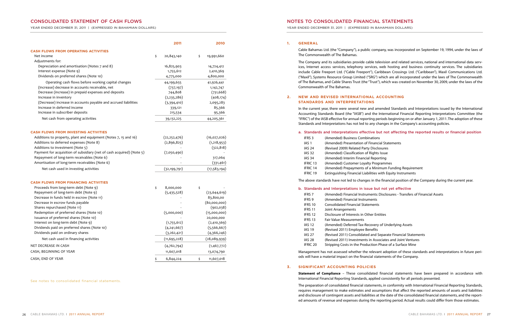YEAR ENDED DECEMBER 31, 2011 | (EXPRESSED IN BAHAMIAN DOLLARS)

- 
- Incial Statements
- s closures
- hts Issue
- porting
- rogrammes
- Iinimum Funding Requirement
- es with Equity Instruments

s: Disclosures - Transfers of Financial Assets

- 
- ry of Underlying Assets
- 
- Separate Financial Statements
- sociates and Joint Ventures
- Phase of a Surface Mine

#### **1. GENERAL**

Cable Bahamas Ltd. (the "Company"), a public company, was incorporated on September 19, 1994, under the laws of The Commonwealth of The Bahamas.

The Company and its subsidiaries provide cable television and related services, national and international data services, Internet access services, telephony services, web hosting and business continuity services. The subsidiaries include Cable Freeport Ltd. ("Cable Freeport"), Caribbean Crossings Ltd. ("Caribbean"), Maxil Communications Ltd. ("Maxil"), Systems Resource Group Limited ("SRG") which are all incorporated under the laws of The Commonwealth of The Bahamas, and Cable Shares Trust (the "Trust"), which was created on November 30, 2009, under the laws of the Commonwealth of The Bahamas.

#### **2. NEW AND REVISED INTERNATIONAL ACCOUNTING STANDARDS AND INTERPRETATIONS**

In the current year, there were several new and amended Standards and Interpretations issued by the International Accounting Standards Board (the "IASB") and the International Financial Reporting Interpretations Committee (the "IFRIC") of the IASB effective for annual reporting periods beginning on or after January 1, 2011.The adoption of these Standards and Interpretations has not led to any changes in the Company's accounting policies.

#### **a. Standards and Interpretations effective but not affecting the reported results or financial position**

| IFRS <sub>3</sub> | (Amended) Business Combinations              |
|-------------------|----------------------------------------------|
| IAS <sub>1</sub>  | (Amended) Presentation of Financi            |
| <b>IAS 24</b>     | (Revised 2009) Related Party Disclo          |
| <b>IAS 32</b>     | (Amended) Classification of Rights           |
| <b>IAS 34</b>     | (Amended) Interim Financial Repor            |
| <b>IFRIC 13</b>   | (Amended) Customer Loyalty Progr             |
| IFRIC 14          | (Amended) Prepayments of a Minir             |
| <b>IFRIC 19</b>   | <b>Extinguishing Financial Liabilities w</b> |

The above standards have not led to changes in the financial position of the Company during the current year.

#### **b. Standards and Interpretations in issue but not yet effective**

| <b>IFRS 7</b>       | (Amended) Financial Instruments: Discl    |
|---------------------|-------------------------------------------|
| <b>IFRS 9</b>       | (Amended) Financial Instruments           |
| IFRS 10             | <b>Consolidated Financial Statements</b>  |
| IFRS 11             | Joint Arrangements                        |
| <b>IFRS 12</b>      | Disclosure of Interests in Other Entities |
| <b>IFRS 13</b>      | <b>Fair Value Measurements</b>            |
| <b>IAS 12</b>       | (Amended) Deferred Tax-Recovery of U      |
| <b>IAS 19</b>       | (Revised 2011) Employee Benefits          |
| <b>IAS 27</b>       | (Revised 2011) Consolidated and Separ     |
| <b>IAS 28</b>       | (Revised 2011) Investments in Associate   |
| IFRIC <sub>20</sub> | Stripping Costs in the Production Phase   |
|                     |                                           |

Management has not assessed whether the relevant adoption of these standards and interpretations in future periods will have a material impact on the financial statements of the Company.

### **3. SIGNIFICANT ACCOUNTING POLICIES**

**Statement of Compliance** – These consolidated financial statements have been prepared in accordance with International Financial Reporting Standards, applied consistently for all periods presented.

The preparation of consolidated financial statements, in conformity with International Financial Reporting Standards, requires management to make estimates and assumptions that affect the reported amounts of assets and liabilities and disclosure of contingent assets and liabilities at the date of the consolidated financial statements, and the reported amounts of revenue and expenses during the reporting period. Actual results could differ from those estimates.

|                                                                       | 2011             | 2010             |
|-----------------------------------------------------------------------|------------------|------------------|
| <b>CASH FLOWS FROM OPERATING ACTIVITIES</b>                           |                  |                  |
| Net income                                                            | \$<br>20,843,140 | \$<br>19,991,660 |
| Adjustments for:                                                      |                  |                  |
| Depreciation and amortisation (Notes 7 and 8)                         | 16,825,903       | 14,724,412       |
| Interest expense (Note 9)                                             | 1,755,612        | 2,410,369        |
| Dividends on preferred shares (Note 10)                               | 4,775,000        | 4,800,000        |
| Operating cash flows before working capital changes                   | 44,199,655       | 41,926,441       |
| (Increase) decrease in accounts receivable, net                       | (737, 197)       | 1,142,747        |
| Decrease (increase) in prepaid expenses and deposits                  | 744,808          | (731, 668)       |
| Increase in inventory                                                 | (2,235,286)      | (408, 174)       |
| (Decrease) increase in accounts payable and accrued liabilities       | (3,394,410)      | 2,095,283        |
| Increase in deferred income                                           | 339,121          | 85,366           |
| Increase in subscriber deposits                                       | 215,534          | 95,366           |
| Net cash from operating activities                                    | 39,132,225       | 44,205,361       |
|                                                                       |                  |                  |
| <b>CASH FLOWS FROM INVESTING ACTIVITIES</b>                           |                  |                  |
| Additions to property, plant and equipment (Notes 7, 15 and 16)       | (22, 252, 476)   | (16,027,026)     |
| Additions to deferred expenses (Note 8)                               | (2,896,825)      | (1,218,953)      |
| Additions to investment (Note 5)                                      |                  | (322, 818)       |
| Payment for acquisition of subsidiary (net of cash acquired) (Note 5) | (7,050,490)      |                  |
| Repayment of long-term receivables (Note 6)                           |                  | 317,064          |
| Amortisation of long-term receivables (Note 6)                        |                  | (331, 461)       |
| Net cash used in investing activities                                 | (32, 199, 791)   | (17,583,194)     |
| <b>CASH FLOWS FROM FINANCING ACTIVITIES</b>                           |                  |                  |
| Proceeds from long-term debt (Note 9)                                 | \$<br>8,000,000  | \$               |
| Repayment of long-term debt (Note 9)                                  | (5,435,528)      | (23, 644, 619)   |
| Decrease in funds held in escrow (Note 11)                            |                  | 83,800,00        |
| Decrease in escrow funds payable                                      |                  | (80,000,000)     |
| Shares repurchased (Note 11)                                          |                  | (902,038)        |
| Redemption of preferred shares (Note 10)                              | (5,000,000)      | (15,000,000)     |
| Issuance of preferred shares (Note 10)                                |                  | 20,000,000       |
| Interest on long-term debt (Note 9)                                   | (1,755,612)      | (2,410,369)      |
| Dividends paid on preferred shares (Note 10)                          | (4,241,667)      | (5,566,667)      |
| Dividends paid on ordinary shares                                     | (3,262,421)      | (4,366,246)      |
| Net cash used in financing activities                                 | (11, 695, 228)   | (28,089,939)     |
| NET DECREASE IN CASH                                                  | (4,762,794)      | (1,467,772)      |
| CASH, BEGINNING OF YEAR                                               | 11,607,018       | 13,074,790       |
| CASH, END OF YEAR                                                     | \$<br>6,844,224  | \$<br>11,607,018 |

See notes to consolidated financial statements.

## **CONSOLIDATED STATEMENT OF CASH FLOWS**

YEAR ENDED DECEMBER 31, 2011 | (EXPRESSED IN BAHAMIAN DOLLARS)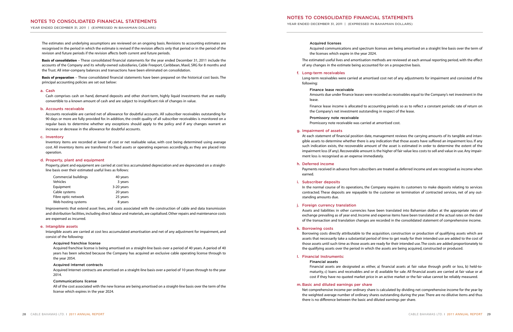YEAR ENDED DECEMBER 31, 2011 | (EXPRESSED IN BAHAMIAN DOLLARS)

YEAR ENDED DECEMBER 31, 2011 | (EXPRESSED IN BAHAMIAN DOLLARS)

#### **Acquired licenses**

Acquired communications and spectrum licenses are being amortised on a straight line basis over the term of

the licenses which expire in the year 2024.

The estimated useful lives and amortisation methods are reviewed at each annual reporting period, with the effect of any changes in the estimate being accounted for on a prospective basis.

#### **f. Long-term receivables**

Long-term receivables were carried at amortised cost net of any adjustments for impairment and consisted of the

following:

#### **Finance lease receivable**

Amounts due under finance leases were recorded as receivables equal to the Company's net investment in the

lease.

Finance lease income is allocated to accounting periods so as to reflect a constant periodic rate of return on the Company's net investment outstanding in respect of the lease.

**Promissory note receivable** Promissory note receivable was carried at amortised cost.

#### **g. Impairment of assets**

At each statement of financial position date, management reviews the carrying amounts of its tangible and intangible assets to determine whether there is any indication that those assets have suffered an impairment loss. If any such indication exists, the recoverable amount of the asset is estimated in order to determine the extent of the impairment loss (if any). Recoverable amount is the higher of fair value less costs to sell and value in use. Any impairment loss is recognised as an expense immediately.

#### **h. Deferred income**

Payments received in advance from subscribers are treated as deferred income and are recognised as income when earned.

#### **i. Subscriber deposits**

In the normal course of its operations, the Company requires its customers to make deposits relating to services contracted. These deposits are repayable to the customer on termination of contracted services, net of any outstanding amounts due.

#### **j. Foreign currency translation**

Assets and liabilities in other currencies have been translated into Bahamian dollars at the appropriate rates of exchange prevailing as of year end. Income and expense items have been translated at the actual rates on the date of the transaction and translation changes are recorded in the consolidated statement of comprehensive income.

#### **k. Borrowing costs**

Borrowing costs directly attributable to the acquisition, construction or production of qualifying assets which are assets that necessarily take a substantial period of time to get ready for their intended use are added to the cost of those assets until such time as those assets are ready for their intended use.The costs are added proportionately to the qualifying assets over the period in which the assets are being acquired, constructed or produced.

#### **l. Financial Instruments:**

**Financial assets**

Financial assets are designated as either, a) financial assets at fair value through profit or loss, b) held-tomaturity, c) loans and receivables and or d) available for sale. All financial assets are carried at fair value or at cost if they have no quoted market price in an active market or the fair value cannot be reliably measured.

#### **m. Basic and diluted earnings per share**

Net comprehensive income per ordinary share is calculated by dividing net comprehensive income for the year by the weighted average number of ordinary shares outstanding during the year.There are no dilutive items and thus there is no difference between the basic and diluted earnings per share.

The estimates and underlying assumptions are reviewed on an ongoing basis. Revisions to accounting estimates are recognised in the period in which the estimate is revised if the revision affects only that period or in the period of the revision and future periods if the revision affects both current and future periods.

**Basis of consolidation** – These consolidated financial statements for the year ended December 31, 2011 include the accounts of the Company and its wholly-owned subsidiaries, Cable Freeport, Caribbean, Maxil, SRG for 8 months and the Trust. All inter-company balances and transactions have been eliminated on consolidation.

**Basis of preparation** – These consolidated financial statements have been prepared on the historical cost basis. The principal accounting policies are set out below:

#### **a. Cash**

Cash comprises cash on hand, demand deposits and other short-term, highly liquid investments that are readily convertible to a known amount of cash and are subject to insignificant risk of changes in value.

#### **b. Accounts receivable**

Accounts receivable are carried net of allowance for doubtful accounts. All subscriber receivables outstanding for 90 days or more are fully provided for. In addition, the credit quality of all subscriber receivables is monitored on a regular basis to determine whether any exceptions should apply to the policy and if any changes warrant an increase or decrease in the allowance for doubtful accounts.

#### **c. Inventory**

Inventory items are recorded at lower of cost or net realisable value, with cost being determined using average cost. All inventory items are transferred to fixed assets or operating expenses accordingly, as they are placed into operation.

#### **d. Property, plant and equipment**

Property, plant and equipment are carried at cost less accumulated depreciation and are depreciated on a straightline basis over their estimated useful lives as follows:

| Commercial buildings | 40 years   |
|----------------------|------------|
| <b>Vehicles</b>      | 3 years    |
| Equipment            | 3-20 years |
| Cable systems        | 20 years   |
| Fibre optic network  | 25 years   |
| Web hosting systems  | 8 years    |

Improvements that extend asset lives, and costs associated with the construction of cable and data transmission and distribution facilities, including direct labour and materials, are capitalised.Other repairs and maintenance costs are expensed as incurred.

#### **e. Intangible assets**

Intangible assets are carried at cost less accumulated amortisation and net of any adjustment for impairment, and consist of the following:

#### **Acquired franchise license**

Acquired franchise license is being amortised on a straight-line basis over a period of 40 years. A period of 40 years has been selected because the Company has acquired an exclusive cable operating license through to the year 2054.

#### **Acquired Internet contracts**

Acquired Internet contracts are amortised on a straight-line basis over a period of 10 years through to the year 2014.

#### **Communications license**

All of the cost associated with the new license are being amortised on a straight-line basis over the term of the license which expires in the year 2024.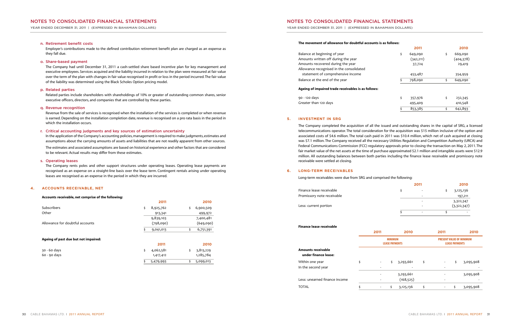YEAR ENDED DECEMBER 31, 2011 | (EXPRESSED IN BAHAMIAN DOLLARS)

#### **The movement of allowance for doubtful account**

Balance at beginning of year Amounts written off during the year Amounts recovered during the year Allowance recognised in the consolidated statement of comprehensive income Balance at the end of the year

YEAR ENDED DECEMBER 31, 2011 | (EXPRESSED IN BAHAMIAN DOLLARS)

| s is as follows: |               |               |
|------------------|---------------|---------------|
|                  | 2011          | 2010          |
|                  | \$<br>649,090 | \$<br>669,090 |
|                  | (342, 211)    | (404,378)     |
|                  | 37,724        | 29,419        |
|                  | 453,487       | 354,959       |
|                  | \$<br>798,090 | \$<br>649,090 |
| ×                |               |               |
|                  | \$<br>357,976 | \$<br>232,345 |
|                  | 495,409       | 410,548       |
|                  | \$<br>853,385 | \$<br>642,893 |
|                  |               |               |

#### **Ageing of impaired trade receivables is as follows:**

90 - 120 days Greater than 120 days

#### **5. INVESTMENT IN SRG**

The Company completed the acquisition of all the issued and outstanding shares in the capital of SRG, a licensed telecommunications operator. The total consideration for the acquisition was \$15 million inclusive of the option and associated costs of \$4.6 million. The total cash paid in 2011 was \$10.4 million, which net of cash acquired at closing was \$7.1 million. The Company received all the necessary Utilities Regulation and Competition Authority (URCA) and Federal Communications Commission (FCC) regulatory approvals prior to closing the transaction on May 2, 2011. The fair market value of the net assets at the time of purchase approximated \$2.1 million and intangible assets were \$12.9 million. All outstanding balances between both parties including the finance lease receivable and promissory note receivable were settled at closing.

#### **6. LONG-TERM RECEIVABLES**

Long-term receivables were due from SRG and comprised the following:

In the application of the Company's accounting policies, management is required to make judgments, estimates and assumptions about the carrying amounts of assets and liabilities that are not readily apparent from other sources.

| 2011 |    | 2010        |
|------|----|-------------|
| \$   | Ś. | 3,125,136   |
|      |    | 197,211     |
|      |    | 3,322,347   |
|      |    | (3,322,347) |
|      |    |             |
|      |    |             |

| Finance lease receivable                          |         |                                         | \$         |    | \$                             |                       | 3,125,136   |
|---------------------------------------------------|---------|-----------------------------------------|------------|----|--------------------------------|-----------------------|-------------|
| Promissory note receivable                        |         |                                         |            | ۰  |                                |                       | 197,211     |
|                                                   |         |                                         |            |    |                                |                       | 3,322,347   |
| Less: current portion                             |         |                                         |            |    |                                |                       | (3,322,347) |
|                                                   |         |                                         | \$         |    | \$                             |                       |             |
| <b>Finance lease receivable</b>                   |         |                                         |            |    |                                |                       |             |
|                                                   | 2011    |                                         | 2010       |    | 2011                           |                       |             |
|                                                   |         | <b>MINIMUM</b><br><b>LEASE PAYMENTS</b> |            |    | <b>PRESENT VALUE OF MINIMU</b> | <b>LEASE PAYMENTS</b> |             |
| <b>Amounts receivable</b><br>under finance lease: |         |                                         |            |    |                                |                       |             |
| Within one year                                   | \$      | \$                                      | 3,293,661  | \$ |                                | \$                    | 3,09        |
| In the second year                                |         |                                         |            |    |                                |                       |             |
|                                                   |         |                                         | 3,293,661  |    |                                |                       | 3,09        |
| Less: unearned finance income                     |         |                                         | (168, 525) |    |                                |                       |             |
| <b>TOTAL</b>                                      | \$<br>٠ | \$                                      | 3,125,136  | \$ |                                | \$                    | 3,09        |

|                                            | 2011                                                       |     | 2010                    |    | 2011 |                                                          | 2010      |  |  |
|--------------------------------------------|------------------------------------------------------------|-----|-------------------------|----|------|----------------------------------------------------------|-----------|--|--|
|                                            | <b>MINIMUM</b><br><b>LEASE PAYMENTS</b>                    |     |                         |    |      | <b>PRESENT VALUE OF MINIMUM</b><br><b>LEASE PAYMENTS</b> |           |  |  |
| Amounts receivable<br>under finance lease: |                                                            |     |                         |    |      |                                                          |           |  |  |
| Within one year<br>In the second year      | \$<br>$\overline{\phantom{a}}$<br>$\overline{\phantom{0}}$ | \$. | 3,293,661               | \$ | ٠    | \$                                                       | 3,095,908 |  |  |
| Less: unearned finance income              |                                                            |     | 3,293,661<br>(168, 525) |    |      |                                                          | 3,095,908 |  |  |
| TOTAL                                      | \$                                                         | \$  | 3,125,136               | \$ |      |                                                          | 3,095,908 |  |  |

#### **n. Retirement benefit costs**

Employer's contributions made to the defined contribution retirement benefit plan are charged as an expense as they fall due.

#### **o. Share-based payment**

The Company had until December 31, 2011 a cash-settled share based incentive plan for key management and executive employees. Services acquired and the liability incurred in relation to the plan were measured at fair value over the term of the plan with changes in fair value recognised in profit or loss in the period incurred.The fair value of the liability was determined using the Black Scholes Option pricing model.

#### **p. Related parties**

Related parties include shareholders with shareholdings of 10% or greater of outstanding common shares, senior executive officers, directors, and companies that are controlled by these parties.

#### **q. Revenue recognition**

Revenue from the sale of services is recognised when the installation of the services is completed or when revenue is earned.Depending on the installation completion date, revenue is recognised on a pro rata basis in the period in which the installation occurs.

#### **r. Critical accounting judgments and key sources of estimation uncertainty**

The estimates and associated assumptions are based on historical experience and other factors that are considered to be relevant. Actual results may differ from these estimates.

#### **s. Operating leases**

The Company rents poles and other support structures under operating leases. Operating lease payments are recognised as an expense on a straight-line basis over the lease term. Contingent rentals arising under operating leases are recognised as an expense in the period in which they are incurred.

#### **4. ACCOUNTS RECEIVABLE, NET**

#### **Accounts receivable, net comprise of the following:**

|                                      |    | 2011      | 2010            |
|--------------------------------------|----|-----------|-----------------|
| Subscribers                          | \$ | 8,925,762 | \$<br>6,900,509 |
| Other                                |    | 913,341   | 499,972         |
|                                      |    | 9,839,103 | 7,400,481       |
| Allowance for doubtful accounts      |    | (798,090) | (649,090)       |
|                                      | s  | 9,041,013 | \$<br>6,751,391 |
| Ageing of past due but not impaired: |    |           |                 |
|                                      |    | 2011      | 2010            |
| 30 - 60 days                         | \$ | 4,062,581 | \$<br>3,813,229 |
| $60 - 90$ days                       |    | 1,417,412 | 1,285,784       |
|                                      | \$ | 5,479,993 | \$<br>5,099,013 |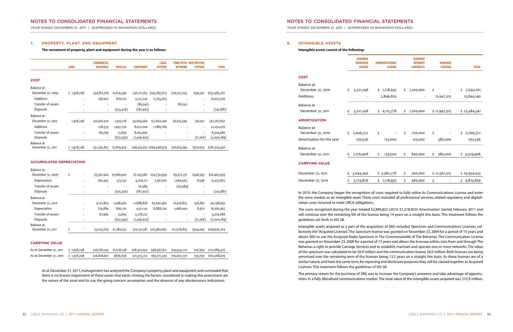YEAR ENDED DECEMBER 31, 2011 | (EXPRESSED IN BAHAMIAN DOLLARS)

## **NOTES TO CONSOLIDATED FINANCIAL STATEMENTS**

YEAR ENDED DECEMBER 31, 2011 | (EXPRESSED IN BAHAMIAN DOLLARS)

#### **8. INTANGIBLE ASSETS**

#### **Intangible assets consist of the following:**

|                                 |    | <b>ACQUIRED</b><br><b>FRANCHISE</b><br><b>LICENSE</b> | <b>COMMUNICATIONS</b><br><b>LICENSE</b> | <b>ACQUIRED</b><br><b>INTERNET</b><br><b>CONTRACTS</b> |     | <b>ACQUIRED</b><br><b>LICENSES</b> | <b>TOTAL</b>    |
|---------------------------------|----|-------------------------------------------------------|-----------------------------------------|--------------------------------------------------------|-----|------------------------------------|-----------------|
| <b>COST</b>                     |    |                                                       |                                         |                                                        |     |                                    |                 |
| Balance at<br>December 31, 2010 | \$ | 5,221,248                                             | \$1,218,953                             | \$<br>1,200,000                                        | \$  |                                    | \$<br>7,640,201 |
| Additions                       |    |                                                       | 2,896,825                               |                                                        |     | 12,947,315                         | 15,844,140      |
| Balance at                      |    |                                                       |                                         |                                                        |     |                                    |                 |
| December 31, 2011               | \$ | 5,221,248                                             | \$<br>4,115,778                         | \$<br>1,200,000                                        |     | \$12,947,315                       | \$23,484,341    |
| <b>AMORTIZATION</b>             |    |                                                       |                                         |                                                        |     |                                    |                 |
| Balance at                      |    |                                                       |                                         |                                                        |     |                                    |                 |
| December 31, 2010               | \$ | 2,046,372                                             | \$                                      | \$<br>720,000                                          | \$  |                                    | \$<br>2,766,372 |
| Amortisation for the year       |    | 130,536                                               | 133,000                                 | 120,000                                                |     | 380,000                            | 763,536         |
| Balance at                      |    |                                                       |                                         |                                                        |     |                                    |                 |
| December 31, 2011               | \$ | 2,176,908                                             | \$<br>133,000                           | \$<br>840,000                                          | \$. | 380,000                            | \$3,529,908     |
| <b>CARRYING VALUE</b>           |    |                                                       |                                         |                                                        |     |                                    |                 |
| December 31, 2011               | \$ | 3,044,340                                             | \$3,982,778                             | \$<br>360,000                                          |     | \$12,567,315                       | \$19,954,433    |
| December 31, 2010               | Ś  | 3,174,876                                             | \$1,218,953                             | \$<br>480,000                                          | \$  |                                    | \$4,873,829     |
|                                 |    |                                                       |                                         |                                                        |     |                                    |                 |

In 2010, the Company began the recognition of costs required to fully utilise its Communications License and enter the voice market, as an intangible asset. These costs included all professional services, related regulatory and digitalisation costs incurred to meet URCA obligations.

The costs recognised during the year totaled \$2,896,825 (2010: \$1,218,953). Amortisation started February 2011 and will continue over the remaining life of the license, being 14 years on a straight line basis. This treatment follows the guidelines set forth in IAS 38.

Intangible assets acquired as a part of the acquisition of SRG included Spectrum and Communications Licenses, collectively the "Acquired Licenses".The Spectrum license was granted on November 23, 2009 for a period of 15 years and allows SRG to use the Assigned Radio Spectrum in The Commonwealth of The Bahamas. The Communication License was granted on November 23, 2009 for a period of 15 years and allows the licensee within, into, from and through The Bahamas a right to provide Carriage Services and to establish, maintain and operate one or more networks. The value of the spectrum was calculated to be \$6.9 million and the communication license \$6.0 million. Both licenses are being amortised over the remaining term of the licenses being 13.5 years on a straight line basis. As these licenses are of a similar nature, and have the same term,for reporting and disclosure purposesthey will be classed together as Acquired Licenses. This treatment follows the guidelines of IAS 38.

As at December 31, 2011, management has analysed the Company's property, plant and equipment and concluded that there is no known impairment of these assets that exists. Among the factors considered in making this assessment are the nature of the asset and its use, the going concern assumption, and the absence of any obsolescence indications.

The primary reason for the purchase of SRG was to increase the Company's presence and take advantage of opportunities in a fully liberalised communications market.The total value of the intangible assets acquired was \$12.9 million.

#### **7. PROPERTY, PLANT AND EQUIPMENT**

**The movement of property, plant and equipment during the year is as follows:**

|                    | <b>LAND</b>                  | <b>COMMERCIAL</b><br><b>BUILDINGS</b> | <b>VEHICLES</b> | <b>EQUIPMENT</b> | <b>CABLE</b><br><b>SYSTEMS</b> | <b>FIBRE OPTIC WEB HOSTING</b><br><b>NETWORK</b> | <b>SYSTEMS</b>           | <b>TOTAL</b>  |
|--------------------|------------------------------|---------------------------------------|-----------------|------------------|--------------------------------|--------------------------------------------------|--------------------------|---------------|
| <b>COST</b>        |                              |                                       |                 |                  |                                |                                                  |                          |               |
| Balance at         |                              |                                       |                 |                  |                                |                                                  |                          |               |
| December 31, 2009  | \$1,928,748                  | \$30,812,518                          | \$1,614,590     | \$30,111,262     | \$145,897,615                  | \$26,527,053                                     | \$591,921                | \$237,483,707 |
| Additions          |                              | 158,002                               | 876,107         | 3,227,242        | 11,765,675                     |                                                  |                          | 16,027,026    |
| Transfer of assets | ٠                            |                                       |                 | (86, 542)        | ۰                              | 86,542                                           |                          |               |
| <b>Disposals</b>   |                              | $\overline{\phantom{a}}$              | (555, 479)      | (187, 402)       | $\overline{\phantom{a}}$       |                                                  |                          | (742, 881)    |
| Balance at         |                              |                                       |                 |                  |                                |                                                  |                          |               |
| December 31, 2010  | 1,928,748                    | 30,970,520                            | 1,935,218       | 33,064,560       | 157,663,290                    | 26,613,595                                       | 591,921                  | 252,767,852   |
| Additions          | ۰                            | 238,533                               | 1,497,750       | 8,631,004        | 11,885,189                     |                                                  |                          | 22,252,476    |
| Transfer of assets | $\qquad \qquad \blacksquare$ | 86,799                                | 13,895          | 8,203,692        | $\overline{a}$                 |                                                  | $\overline{\phantom{a}}$ | 8,304,386     |
| Disposals          | -                            | $\overline{\phantom{a}}$              | (632,393)       | (1,346,625)      |                                | $\overline{\phantom{a}}$                         | (21,266)                 | (2,000,284)   |
| Balance at         |                              |                                       |                 |                  |                                |                                                  |                          |               |
| December 31, 2011  | \$1,928,748                  | \$31,295,852                          | \$2,814,470     |                  | \$48,552,631 \$169,548,479     | \$26,613,595                                     | \$570,655                | \$281,324,430 |

#### **ACCUMULATED DEPRECIATION**

| Balance at         |    |                          |                          |                          |              |                          |              |                          |               |
|--------------------|----|--------------------------|--------------------------|--------------------------|--------------|--------------------------|--------------|--------------------------|---------------|
| December 31, 2009  | \$ | ٠                        | \$3,391,404              | \$1,080,902              | \$7,143,580  | \$54,730,959             | \$9,572,751  | \$548,343                | \$76,467,939  |
| Depreciation       |    | $\overline{\phantom{a}}$ | 760,455                  | 573,137                  | 4,706,171    | 7,361,001                | 1,064,563    | 8,548                    | 14,473,875    |
| Transfer of assets |    | ٠                        | $\overline{\phantom{a}}$ | $\overline{\phantom{a}}$ | 26,489       | $\sim$                   | (26, 489)    | $\overline{\phantom{a}}$ |               |
| <b>Disposals</b>   |    |                          | $\overline{\phantom{a}}$ | (555,479)                | (187, 402)   | $\overline{\phantom{a}}$ |              | $\overline{\phantom{a}}$ | (742, 881)    |
| Balance at         |    |                          |                          |                          |              |                          |              |                          |               |
| December 31, 2010  |    |                          | 4,151,859                | 1,098,560                | 11,688,838   | 62,091,960               | 10,610,825   | 556,891                  | 90,198,933    |
| Depreciation       |    | ٠                        | 779,884                  | 806,170                  | 4,511,141    | 8,888,702                | 1,068,000    | 8,470                    | 16,062,367    |
| Transfer of assets |    | ۰                        | 81,966                   | 13,895                   | 5,278,227    | $\overline{\phantom{a}}$ |              | $\overline{\phantom{a}}$ | 5,374,088     |
| Disposals          |    |                          | $\overline{\phantom{a}}$ | (632,393)                | (1,346,625)  | ۰                        |              | (21,266)                 | (2,000,284)   |
| Balance at         |    |                          |                          |                          |              |                          |              |                          |               |
| December 31, 2011  | Ś  | $\overline{\phantom{a}}$ | \$5,013,709              | \$1,286,232              | \$20,131,581 | \$70,980,662             | \$11,678,825 | \$544,095                | \$109,635,104 |
|                    |    |                          |                          |                          |              |                          |              |                          |               |

#### **CARRYING VALUE**

| As at December 31, 2011 $\frac{1}{2}$ 1,928,748 |  |  | \$26,282,143  \$1,528,238   \$28,421,050  \$98,567,817  \$14,934,770   \$26,560  \$171,689,326 |  |
|-------------------------------------------------|--|--|------------------------------------------------------------------------------------------------|--|
| As at December 31, 2010 $\;$ \$ 1,928,748       |  |  | \$26,818,661  \$836,658  \$21,375,722  \$95,571,330  \$16,002,770   \$35,030  \$162,568,919    |  |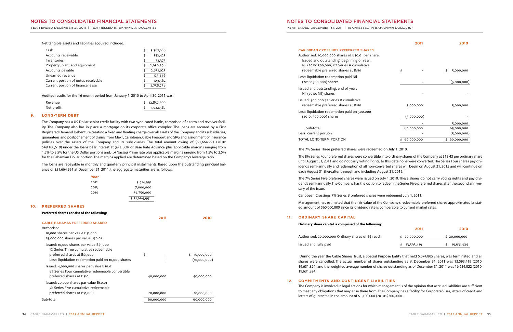YEAR ENDED DECEMBER 31, 2011 | (EXPRESSED IN BAHAMIAN DOLLARS)

YEAR ENDED DECEMBER 31, 2011 | (EXPRESSED IN BAHAMIAN DOLLARS)

- Authorised: 10,000,000 shares of B\$0.01 per share: Issued and outstanding, beginning of year: Nil (2010: 500,000) 8% Series A cumulative redeemable preferred shares at B\$10
- less: liquidation redemption paid Nil (2010: 500,000) shares
- Issued and outstanding, end of year: Nil (2010: Nil) shares
- Issued: 500,000 7% Series B cumulative redeemable preferred shares at B\$10
- less: liquidation redemption paid on 500,000 (2010: 500,000) shares

Less: current portion TOTAL LONG-TERM PORTION

#### **CARIBBEAN CROSSINGS PREFERRED SHARES:**

|                                                                                                                                                                                                                 | 2011        | 2010             |
|-----------------------------------------------------------------------------------------------------------------------------------------------------------------------------------------------------------------|-------------|------------------|
| BBEAN CROSSINGS PREFERRED SHARES:<br>orised: 10,000,000 shares of B\$0.01 per share:<br>ued and outstanding, beginning of year:<br>(2010: 500,000) 8% Series A cumulative<br>deemable preferred shares at B\$10 | \$          | \$<br>5,000,000  |
| liquidation redemption paid Nil<br>010: 500,000) shares                                                                                                                                                         |             | (5,000,000)      |
| d and outstanding, end of year:<br>(2010: Nil) shares                                                                                                                                                           |             |                  |
| d: 500,000 7% Series B cumulative:<br>deemable preferred shares at B\$10                                                                                                                                        | 5,000,000   | 5,000,000        |
| liquidation redemption paid on 500,000<br>010: 500,000) shares                                                                                                                                                  | (5,000,000) |                  |
|                                                                                                                                                                                                                 |             | 5,000,000        |
| Sub-total                                                                                                                                                                                                       | 60,000,000  | 65,000,000       |
| current portion                                                                                                                                                                                                 |             | (5,000,000)      |
| <b>AL LONG-TERM PORTION</b>                                                                                                                                                                                     | 60,000,000  | 60,000,000<br>Ś. |
|                                                                                                                                                                                                                 |             |                  |

The 7% Series Three preferred shares were redeemed on July 1, 2010.

The 8% Series Four preferred shares were convertible into ordinary shares of the Company at \$13.43 per ordinary share until August 31, 2011 and do not carry voting rights; to this date none were converted.The Series Four shares pay dividends semi-annually and redemption of all non-converted shares will begin on August 31, 2015 and will continue on each August 31 thereafter through and including August 31, 2019.

The 7% Series Five preferred shares were issued on July 1, 2010. These shares do not carry voting rights and pay dividendssemi-annually.The Company hasthe option to redeem the Series Five preferred shares after the second anniversary of the issue.

Caribbean Crossings 7% Series B preferred shares were redeemed July 1, 2011.

Management has estimated that the fair value of the Company's redeemable preferred shares approximates its stated amount of \$60,000,000 since its dividend rate is comparable to current market rates.

#### **11. ORDINARY SHARE CAPITAL**

#### **Ordinary share capital is comprised of the following:**

Authorised: 20,000,000 Ordinary shares of B\$1 ea

Issued and fully paid

|     | 2011         | 2010         |
|-----|--------------|--------------|
| ıch | \$20,000,000 | \$20,000,000 |
|     | 13,593,419   | 19,631,824   |

During the year the Cable Shares Trust, a Special Purpose Entity that held 5,074,805 shares, was terminated and all shares were cancelled. The actual number of shares outstanding as at December 31, 2011 was 13,593,419 (2010: 19,631,824) and the weighted average number of shares outstanding as of December 31, 2011 was 16,634,022 (2010: 19,631,824).

## **12. COMMITMENTS AND CONTINGENT LIABILITIES**

The Company is involved in legal actions for which management is of the opinion that accrued liabilities are sufficient to meet any obligations that may arise there from.The Company has a facility for Corporate Visas, letters of credit and letters of guarantee in the amount of \$1,100,000 (2010: \$200,000).

#### Net tangible assets and liabilities acquired included:

| Cash                                | 3,382,186 |
|-------------------------------------|-----------|
| Accounts receivable                 | 1,552,425 |
| Inventories                         | 32,375    |
| Property, plant and equipment       | 2,930,298 |
| Accounts payable                    | 2,851,025 |
| Unearned revenue                    | 125,846   |
| Current portion of notes receivable | 109,562   |
| Current portion of finance lease    | 2,758,758 |

Audited results for the 16 month period from January 1, 2010 to April 30, 2011 was:

| Revenue    | \$12,857,599 |
|------------|--------------|
| Net profit | \$1,022,587  |

#### **9. LONG-TERM DEBT**

The Company has a US Dollar senior credit facility with two syndicated banks, comprised of a term and revolver facility. The Company also has in place a mortgage on its corporate office complex. The loans are secured by a First Registered Demand Debenture creating a fixed and floating charge over all assets of the Company and its subsidiaries, guarantees and postponement of claims from Maxil, Caribbean, Cable Freeport and SRG and assignment of insurance policies over the assets of the Company and its subsidiaries. The total amount owing of \$51,664,991 (2010: \$49,100,519) under the loans bear interest at (a) LIBOR or Base Rate Advance plus applicable margins ranging from 1.5% to 3.5% for the US Dollar portions and; (b) Nassau Prime rate plus applicable margins ranging from 1.5% to 2.5% for the Bahamian Dollar portion. The margins applied are determined based on the Company's leverage ratio.

The loans are repayable in monthly and quarterly principal installments. Based upon the outstanding principal balance of \$51,664,991 at December 31, 2011, the aggregate maturities are as follows:

| Year |              |
|------|--------------|
| 2012 | 5,914,991    |
| 2013 | 7,000,000    |
| 2014 | 38,750,000   |
|      | \$51,664,991 |

#### **10. PREFERRED SHARES**

| Preferred shares consist of the following:                                                                                                                              |            |                            |
|-------------------------------------------------------------------------------------------------------------------------------------------------------------------------|------------|----------------------------|
| <b>CABLE BAHAMAS PREFERRED SHARES:</b><br>Authorised:<br>10,000 shares par value B\$1,000<br>25,000,000 shares par value B\$0.01                                        | 2011       | 2010                       |
| Issued: 10,000 shares par value B\$1,000<br>7% Series Three cumulative redeemable<br>preferred shares at B\$1,000<br>Less: liquidation redemption paid on 10,000 shares | \$         | 10,000,000<br>(10,000,000) |
| Issued: 4,000,000 shares par value B\$0.01<br>8% Series Four cumulative redeemable convertible<br>preferred shares at B\$10                                             | 40,000,000 | 40,000,000                 |
| Issued: 20,000 shares par value B\$0.01<br>7% Series Five cumulative redeemable<br>preferred shares at B\$1,000                                                         | 20,000,000 | 20,000,000                 |
| Sub-total                                                                                                                                                               | 60,000,000 | 60,000,000                 |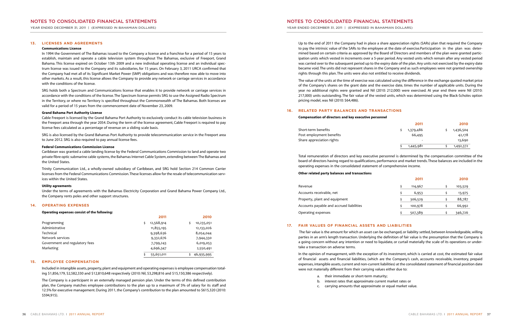YEAR ENDED DECEMBER 31, 2011 | (EXPRESSED IN BAHAMIAN DOLLARS)

## **NOTES TO CONSOLIDATED FINANCIAL STATEMENTS**

YEAR ENDED DECEMBER 31, 2011 | (EXPRESSED IN BAHAMIAN DOLLARS)

Up to the end of 2011 the Company had in place a share appreciation rights (SARs) plan that required the Company to pay the intrinsic value of the SARs to the employee at the date of exercise.Participation in the plan was determined based on certain criteria as approved by the Board of Directors and members of the plan were granted participation units which vested in increments over a 5-year period. Any vested units which remain after any vested period was carried over to the subsequent period up to the expiry date of the plan.Any units not exercised by the expiry date became void.The units did not represent shares in the Company and as such employees were not granted ownership rights through this plan. The units were also not entitled to receive dividends.

The value of the units at the time of exercise was calculated using the difference in the exchange quoted market price of the Company's shares on the grant date and the exercise date, times the number of applicable units. During the year no additional rights were granted and Nil (2010: 212,000) were exercised. At year end there were Nil (2010: 217,000) units outstanding. The fair value of the vested units, which was determined using the Black-Scholes option pricing model, was Nil (2010: \$64,486).

#### **16. RELATED PARTY BALANCES AND TRANSACTIONS**

#### **Compensation of directors and key executive personnel**

Short-term benefits Post employment benefits Share appreciation rights

|    | 2011      |   | 2010      |
|----|-----------|---|-----------|
| \$ | 1,379,486 |   | 1,436,504 |
|    | 66,495    |   | 42,178    |
|    |           |   | 13,690    |
| Ś  | 1,445,981 | Ś | 1,492,372 |

Total remuneration of directors and key executive personnel is determined by the compensation committee of the board of directors having regard to qualifications, performance and market trends.These balances are included in the operating expenses in the consolidated statement of comprehensive income.

**Other related party balances and transactions**

|                                          | 2011    | 2010    |
|------------------------------------------|---------|---------|
| Revenue                                  | 114,967 | 103,529 |
| Accounts receivable, net                 | 6,953   | 13,975  |
| Property, plant and equipment            | 306,529 | 88,787  |
| Accounts payable and accrued liabilities | 100,978 | 66,992  |
| Operating expenses                       | 507,389 | 346,726 |

#### **17. FAIR VALUES OF FINANCIAL ASSETS AND LIABILITIES**

The fair value is the amount for which an asset can be exchanged, or liability settled, between knowledgeable, willing parties in an arm's length transaction. Underlying the definition of fair value is the presumption that the Company is a going concern without any intention or need to liquidate, or curtail materially the scale of its operations or undertake a transaction on adverse terms.

In the opinion of management, with the exception of its investment, which is carried at cost, the estimated fair value of financial assets and financial liabilities, (which are the Company's cash, accounts receivable, inventory, prepaid expenses, intangible assets, current and non-current liabilities) at the consolidated statement of financial position date were not materially different from their carrying values either due to:

Included in intangible assets, property, plant and equipment and operating expenses is employee compensation totaling \$1,856,179, \$2,582,330 and \$12,810,648 respectively (2010: Nil, \$3,298,816 and \$15,150,386 respectively).

- a. their immediate or short-term maturity;
- b. interest rates that approximate current market rates or
- 
- 
- 
- c. carrying amounts that approximate or equal market value.

#### **13. LICENSES AND AGREEMENTS**

#### **Communications License**

In 1994 the Government of The Bahamas issued to the Company a license and a franchise for a period of 15 years to establish, maintain and operate a cable television system throughout The Bahamas, exclusive of Freeport, Grand Bahama. This license expired on October 13th 2009 and a new individual operating license and an individual spectrum license was issued to the Company and its subsidiaries, for 15 years. On February 3, 2011 URCA confirmed that the Company had met all of its Significant Market Power (SMP) obligations and was therefore now able to move into other markets. As a result, this license allows the Company to provide any network or carriage services in accordance with the conditions of the license.

SRG holds both a Spectrum and Communications license that enables it to provide network or carriage services in accordance with the conditions of the license.The Spectrum license permits SRG to use the Assigned Radio Spectrum in the Territory, or where no Territory is specified throughout the Commonwealth of The Bahamas. Both licenses are valid for a period of 15 years from the commencement date of November 23, 2009.

#### **Grand Bahama Port Authority License**

Cable Freeport is licensed by the Grand Bahama Port Authority to exclusively conduct its cable television business in the Freeport area through the year 2054. During the term of the license agreement, Cable Freeport is required to pay license fees calculated as a percentage of revenue on a sliding scale basis.

SRG is also licensed by the Grand Bahamas Port Authority to provide telecommunication service in the Freeport area to June 2012. SRG is also required to pay annual license fees.

#### **Federal Communications Commission License**

Caribbean was granted a cable landing license by the Federal Communications Commission to land and operate two private fibre optic submarine cable systems, the Bahamas Internet Cable System, extending between The Bahamas and the United States.

Trinity Communication Ltd., a wholly-owned subsidiary of Caribbean, and SRG hold Section 214 Common Carrier licenses from the Federal Communications Commission.These licenses allow for the resale of telecommunication services within the United States.

#### **Utility agreements**

Under the terms of agreements with the Bahamas Electricity Corporation and Grand Bahama Power Company Ltd., the Company rents poles and other support structures.

#### **14. OPERATING EXPENSES**

#### **Operating expenses consist of the following:**

|                                | 2011       | 2010         |
|--------------------------------|------------|--------------|
| Programming                    | 12,568,914 | 10,235,051   |
| Administrative                 | 11,855,195 | 12, 133, 026 |
| Technical                      | 9,398,636  | 8,054,044    |
| Network services               | 9,332,676  | 7,944,330    |
| Government and regulatory fees | 7,799,243  | 6,019,053    |
| Marketing                      | 4,696,347  | 2,550,491    |
|                                | 55,651,011 | 46,935,995   |

### **15. EMPLOYEE COMPENSATION**

The Company is a participant in an externally managed pension plan. Under the terms of this defined contribution plan, the Company matches employee contributions to the plan up to a maximum of 5% of salary for its staff and 12.5% for executive management.During 2011,the Company's contribution to the plan amounted to \$615,320 (2010: \$594,915).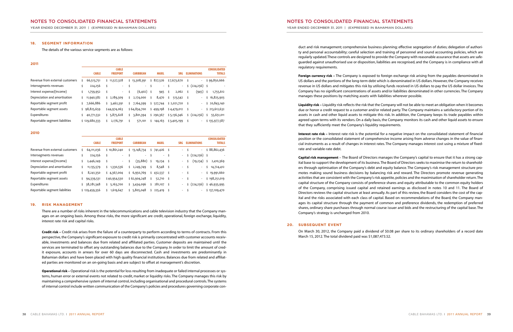YEAR ENDED DECEMBER 31, 2011 | (EXPRESSED IN BAHAMIAN DOLLARS)

YEAR ENDED DECEMBER 31, 2011 | (EXPRESSED IN BAHAMIAN DOLLARS)

duct and risk management; comprehensive business planning; effective segregation of duties; delegation of authority and personal accountability; careful selection and training of personnel and sound accounting policies, which are regularly updated.These controls are designed to provide the Company with reasonable assurance that assets are safeguarded against unauthorised use or disposition, liabilities are recognised, and the Company is in compliance with all regulatory requirements.

**Foreign currency risk –** The Company is exposed to foreign exchange risk arising from the payables denominated in US dollars and the portions of the long-term debt which is denominated in US dollars.However,the Company receives revenue in US dollars and mitigates this risk by utilising funds received in US dollars to pay the US dollar invoices. The Company has no significant concentrations of assets and/or liabilities denominated in other currencies. The Company manages these positions by matching assets with liabilities wherever possible.

**Liquidity risk –** Liquidity risk reflects the risk that the Company will not be able to meet an obligation when it becomes due or honor a credit request to a customer and/or related party. The Company maintains a satisfactory portion of its assets in cash and other liquid assets to mitigate this risk. In addition, the Company keeps its trade payables within agreed upon terms with its vendors. On a daily basis, the Company monitors its cash and other liquid assets to ensure that they sufficiently meet the Company's liquidity requirements.

**Interest rate risk –** Interest rate risk is the potential for a negative impact on the consolidated statement of financial position or the consolidated statement of comprehensive income arising from adverse changes in the value of financial instruments as a result of changes in interest rates. The Company manages interest cost using a mixture of fixedrate and variable-rate debt.

**Capital risk management** – The Board of Directors manages the Company's capital to ensure that it has a strong capital base to support the development of its business.The Board of Directors seeks to maximise the return to shareholders through optimisation of the Company's debt and equity balance. The Company's risk management structure promotes making sound business decisions by balancing risk and reward. The Directors promote revenue generating activities that are consistent with the Company's risk appetite, policies and the maximisation of shareholder return. The capital structure of the Company consists of preference shares and equity attributable to the common equity holders of the Company, comprising issued capital and retained earnings as disclosed in notes 10 and 11. The Board of Directors reviews the capital structure at least annually. As part of this review, the Board considers the cost of the capital and the risks associated with each class of capital. Based on recommendations of the Board, the Company manages its capital structure through the payment of common and preference dividends, the redemption of preferred shares, ordinary share purchases through normal course issuer and bids and the restructuring of the capital base. The Company's strategy is unchanged from 2010.

#### **20. SUBSEQUENT EVENT**

On March 30, 2012, the Company paid a dividend of \$0.08 per share to its ordinary shareholders of a record date March 15, 2012. The total dividend paid was \$1,087,473.52.

#### **18. SEGMENT INFORMATION**

The details of the various service segments are as follows:

#### **2011**

|                                 | <b>CABLE</b>  |     | <b>CABLE</b><br><b>FREEPORT</b> |    | <b>CARIBBEAN</b> |      | <b>MAXIL</b> | SRG. |             | <b>ELIMINATIONS</b> |                          | <b>CONSOLIDATED</b><br><b>TOTALS</b> |               |
|---------------------------------|---------------|-----|---------------------------------|----|------------------|------|--------------|------|-------------|---------------------|--------------------------|--------------------------------------|---------------|
| Revenue from external customers | 66,513,751    | \$. | 11,527,328                      |    | \$13,308,391     |      | \$827,526    |      | \$7,673,670 |                     | $\overline{\phantom{a}}$ |                                      | \$99,850,666  |
| Intersegments revenues          | 224,256       |     | $\overline{\phantom{a}}$        |    | $\sim$           | \$   | $\sim$       |      | $\sim$      |                     | (224,256)                |                                      |               |
| Interest expense/(Income)       | 1,759,952     | \$  | $\overline{\phantom{a}}$        | \$ | (6,402)          | - \$ | 945          | \$.  | 2,062       |                     | (945)                    | \$                                   | 1,755,612     |
| Depreciation and amortisation   | 11,940,582    | \$  | 2,189,309                       | s  | 2,174,000        | Ś.   | 8,470        | \$   | 513,542     | -\$                 | $\overline{\phantom{a}}$ | Ś.                                   | 16,825,903    |
| Reportable segment profit       | 7,666,886     | Ś.  | 3,462,391                       | \$ | 7,164,399        |      | \$527,744    |      | \$2,021,720 | -\$                 | $\overline{\phantom{a}}$ |                                      | \$20,843,140  |
| Reportable segment assets       | \$98,825,659  |     | \$44,974,063                    |    | \$64,834,700     |      | \$499,198    |      | \$4,479,012 | -\$                 | $\overline{\phantom{a}}$ |                                      | \$213,612,632 |
| Expenditures                    | 40,771,532    | Ś.  | 5,875,628                       | Ś. | 3,801,394        |      | \$290,367    |      | \$5,136,346 |                     | $\frac{1}{2}$ (224,256)  | Ś.                                   | 55,651,011    |
| Reportable segment liabilities  | \$129,680,333 |     | 2,176,791                       | Ś  | 571,101          | ς.   | 144,163      |      | \$3,405,199 |                     | $\overline{\phantom{a}}$ |                                      | \$135,977,587 |

**2010**

|                                 | <b>CABLE</b>  | <b>CABLE</b><br><b>FREEPORT</b> |    | <b>CARIBBEAN</b> |     | <b>MAXIL</b> |      | SRG.                     |    | <b>ELIMINATIONS</b>        |    | <b>CONSOLIDATED</b><br><b>TOTALS</b> |
|---------------------------------|---------------|---------------------------------|----|------------------|-----|--------------|------|--------------------------|----|----------------------------|----|--------------------------------------|
| Revenue from external customers | 64,111,036    | \$10,861,240                    |    | \$13,148,734     | \$. | 741,426      |      |                          |    | $\overline{\phantom{a}}$   |    | \$88,862,436                         |
| Intersegments revenues          | 224,256       | $\overline{\phantom{a}}$        |    | $\sim$           | Ś   | $\sim$       | -\$  |                          |    | $\frac{1}{2}$ (224,256) \$ |    |                                      |
| Interest expense/(Income)       | 2,446,249     | $\overline{\phantom{a}}$        | \$ | (35,880)         | Ś.  | 19,234       |      | $\sim$                   |    | (19,234)                   | \$ | 2,410,369                            |
| Depreciation and amortisation   | 11,135,579    | 1,330,536                       | \$ | 2,249,749        | Ś.  | 8,548        |      | $\sim$                   |    | $\overline{\phantom{a}}$   | Ś  | 14,724,412                           |
| Reportable segment profit       | 8,241,350     | \$4,367,004                     |    | \$6,950,769      | \$  | 432,537      | - \$ | $\sim$                   | \$ | $\overline{\phantom{a}}$   | Ś. | 19,991,660                           |
| Reportable segment assets       | 94,339,531    | \$40,954,530                    |    | \$62,904,248     | Ś.  | 52,710       | - \$ | $\sim$                   | Ŝ  | $\overline{\phantom{a}}$   |    | \$198,251,019                        |
| Expenditures                    | 38,281,348    | 5,163,700                       | Ś. | 3,434,096        | Ś.  | 281,107      | - \$ | $\sim$                   |    | (224, 256)                 |    | \$46,935,995                         |
| Reportable segment liabilities  | \$129,459,356 | 1,619,647                       |    | \$5,805,048      | Ŝ.  | 225,419      |      | $\overline{\phantom{a}}$ |    | $\overline{\phantom{a}}$   |    | \$137,109,470                        |

#### **19. RISK MANAGEMENT**

There are a number of risks inherent in the telecommunications and cable television industry that the Company manages on an ongoing basis. Among these risks, the more significant are credit, operational, foreign exchange, liquidity, interest rate risk and capital risks.

**Credit risk –** Credit risk arises from the failure of a counterparty to perform according to terms of contracts. From this perspective, the Company's significant exposure to credit risk is primarily concentrated with customer accounts receivable, investments and balances due from related and affiliated parties. Customer deposits are maintained until the services are terminated to offset any outstanding balances due to the Company. In order to limit the amount of credit exposure, accounts in arrears for over 60 days are disconnected. Cash and investments are predominantly in Bahamian dollars and have been placed with high quality financial institutions. Balances due from related and affiliated parties are monitored on an on-going basis and are subject to offset at management's discretion.

**Operational risk –** Operational risk is the potential for loss resulting from inadequate or failed internal processes or systems, human error or external events not related to credit, market or liquidity risks.The Company manages this risk by maintaining a comprehensive system of internal control, including organisational and procedural controls.The systems of internal control include written communication of the Company's policies and procedures governing corporate con-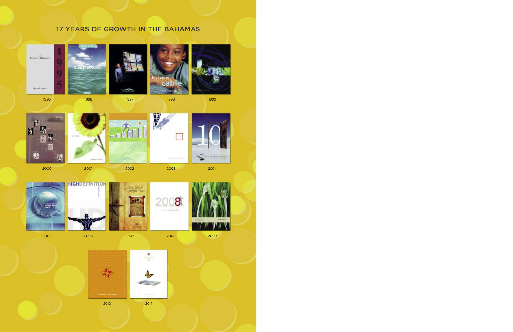# **YEARS OF GROWTH IN THE BAHAMAS**





**Amust Report** 





the future CFI 6











2001 2002 2003 2004







2006 2007 2008 2009







2011

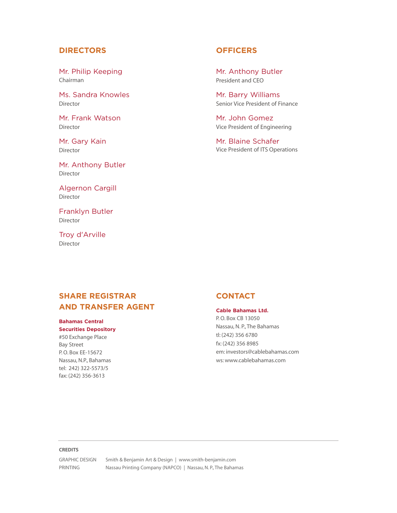## **DIRECTORS**

Mr. Philip Keeping Chairman

Ms. Sandra Knowles Director

Mr. Frank Watson Director

Mr. Gary Kain Director

Mr. Anthony Butler Director

Algernon Cargill Director

Franklyn Butler Director

Troy d'Arville Director

## **OFFICERS**

Mr. Anthony Butler President and CEO

Mr. Barry Williams Senior Vice President of Finance

Mr. John Gomez Vice President of Engineering

Mr. Blaine Schafer Vice President of ITS Operations

## **SHARE REGISTRAR AND TRANSFER AGENT**

#### **Bahamas Central Securities Depository**

#50 Exchange Place Bay Street P.O. Box EE-15672 Nassau, N.P., Bahamas tel: 242) 322-5573/5 fax: (242) 356-3613

## **CONTACT**

## **Cable Bahamas Ltd.**

P.O. Box CB 13050 Nassau, N. P., The Bahamas tl: (242) 356 6780 fx: (242) 356 8985 em: investors@cablebahamas.com ws: www.cablebahamas.com

#### **CREDITS**

GRAPHIC DESIGN Smith & Benjamin Art & Design | www.smith-benjamin.com PRINTING Nassau Printing Company (NAPCO) | Nassau, N. P., The Bahamas